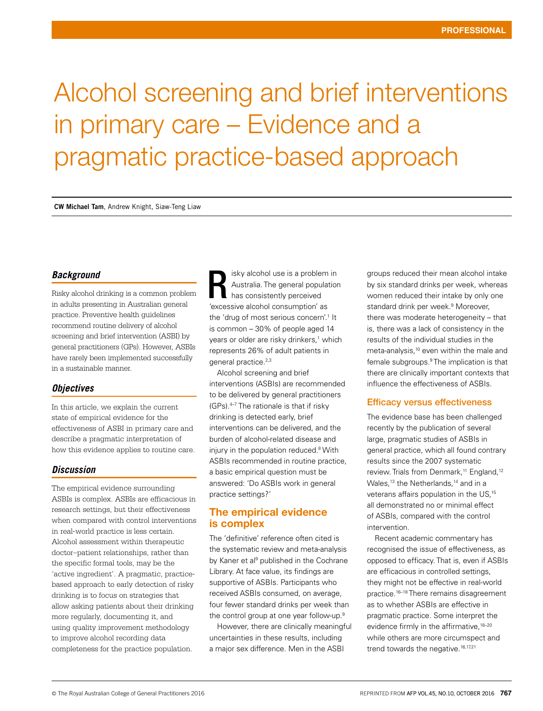# Alcohol screening and brief interventions in primary care – Evidence and a pragmatic practice-based approach

**CW Michael Tam**, Andrew Knight, Siaw-Teng Liaw

# *Background*

Risky alcohol drinking is a common problem in adults presenting in Australian general practice. Preventive health guidelines recommend routine delivery of alcohol screening and brief intervention (ASBI) by general practitioners (GPs). However, ASBIs have rarely been implemented successfully in a sustainable manner.

### *Objectives*

In this article, we explain the current state of empirical evidence for the effectiveness of ASBI in primary care and describe a pragmatic interpretation of how this evidence applies to routine care.

### *Discussion*

The empirical evidence surrounding ASBIs is complex. ASBIs are efficacious in research settings, but their effectiveness when compared with control interventions in real-world practice is less certain. Alcohol assessment within therapeutic doctor–patient relationships, rather than the specific formal tools, may be the 'active ingredient'. A pragmatic, practicebased approach to early detection of risky drinking is to focus on strategies that allow asking patients about their drinking more regularly, documenting it, and using quality improvement methodology to improve alcohol recording data completeness for the practice population.

isky alcohol use is a problem in Australia. The general population has consistently perceived 'excessive alcohol consumption' as the 'drug of most serious concern'.<sup>1</sup> It is common – 30% of people aged 14 years or older are risky drinkers,<sup>1</sup> which represents 26% of adult patients in general practice.<sup>2,3</sup>

Alcohol screening and brief interventions (ASBIs) are recommended to be delivered by general practitioners (GPs).4–7 The rationale is that if risky drinking is detected early, brief interventions can be delivered, and the burden of alcohol-related disease and injury in the population reduced.<sup>8</sup> With ASBIs recommended in routine practice, a basic empirical question must be answered: 'Do ASBIs work in general practice settings?'

# The empirical evidence is complex

The 'definitive' reference often cited is the systematic review and meta-analysis by Kaner et al<sup>9</sup> published in the Cochrane Library. At face value, its findings are supportive of ASBIs. Participants who received ASBIs consumed, on average, four fewer standard drinks per week than the control group at one year follow-up.9

However, there are clinically meaningful uncertainties in these results, including a major sex difference. Men in the ASBI

groups reduced their mean alcohol intake by six standard drinks per week, whereas women reduced their intake by only one standard drink per week.<sup>9</sup> Moreover, there was moderate heterogeneity – that is, there was a lack of consistency in the results of the individual studies in the meta-analysis,<sup>10</sup> even within the male and female subgroups.<sup>9</sup> The implication is that there are clinically important contexts that influence the effectiveness of ASBIs.

### Efficacy versus effectiveness

The evidence base has been challenged recently by the publication of several large, pragmatic studies of ASBIs in general practice, which all found contrary results since the 2007 systematic review. Trials from Denmark.<sup>11</sup> England.<sup>12</sup> Wales,<sup>13</sup> the Netherlands,<sup>14</sup> and in a veterans affairs population in the US,<sup>15</sup> all demonstrated no or minimal effect of ASBIs, compared with the control intervention.

Recent academic commentary has recognised the issue of effectiveness, as opposed to efficacy. That is, even if ASBIs are efficacious in controlled settings, they might not be effective in real-world practice.16–18 There remains disagreement as to whether ASBIs are effective in pragmatic practice. Some interpret the evidence firmly in the affirmative,  $18-20$ while others are more circumspect and trend towards the negative.<sup>16,17,21</sup>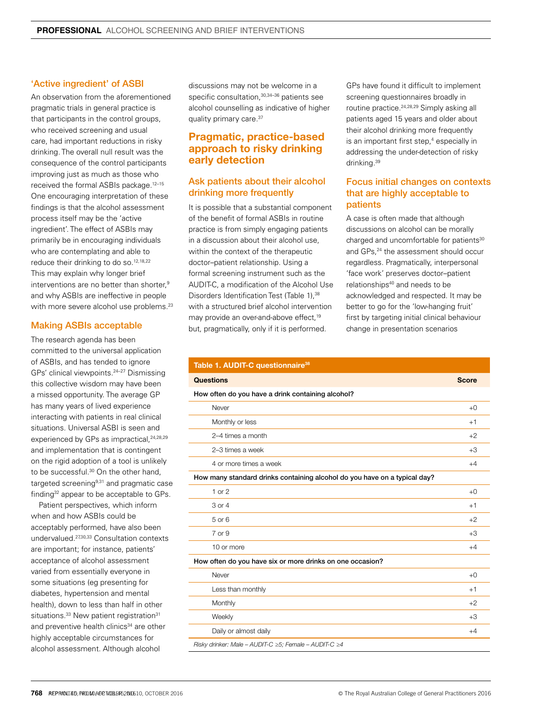# 'Active ingredient' of ASBI

An observation from the aforementioned pragmatic trials in general practice is that participants in the control groups, who received screening and usual care, had important reductions in risky drinking. The overall null result was the consequence of the control participants improving just as much as those who received the formal ASBIs package.<sup>12-15</sup> One encouraging interpretation of these findings is that the alcohol assessment process itself may be the 'active ingredient'. The effect of ASBIs may primarily be in encouraging individuals who are contemplating and able to reduce their drinking to do so.12,18,22 This may explain why longer brief interventions are no better than shorter,<sup>9</sup> and why ASBIs are ineffective in people with more severe alcohol use problems.<sup>23</sup>

# Making ASBIs acceptable

The research agenda has been committed to the universal application of ASBIs, and has tended to ignore GPs' clinical viewpoints.24–27 Dismissing this collective wisdom may have been a missed opportunity. The average GP has many years of lived experience interacting with patients in real clinical situations. Universal ASBI is seen and experienced by GPs as impractical, <sup>24,28,29</sup> and implementation that is contingent on the rigid adoption of a tool is unlikely to be successful.<sup>30</sup> On the other hand, targeted screening $9,31$  and pragmatic case finding32 appear to be acceptable to GPs.

Patient perspectives, which inform when and how ASBIs could be acceptably performed, have also been undervalued.27,30,33 Consultation contexts are important; for instance, patients' acceptance of alcohol assessment varied from essentially everyone in some situations (eg presenting for diabetes, hypertension and mental health), down to less than half in other situations.<sup>33</sup> New patient registration<sup>31</sup> and preventive health clinics<sup>34</sup> are other highly acceptable circumstances for alcohol assessment. Although alcohol

discussions may not be welcome in a specific consultation, 30,34-36 patients see alcohol counselling as indicative of higher quality primary care.<sup>37</sup>

# Pragmatic, practice-based approach to risky drinking early detection

# Ask patients about their alcohol drinking more frequently

It is possible that a substantial component of the benefit of formal ASBIs in routine practice is from simply engaging patients in a discussion about their alcohol use, within the context of the therapeutic doctor–patient relationship. Using a formal screening instrument such as the AUDIT-C, a modification of the Alcohol Use Disorders Identification Test (Table 1),<sup>38</sup> with a structured brief alcohol intervention may provide an over-and-above effect.<sup>19</sup> but, pragmatically, only if it is performed.

GPs have found it difficult to implement screening questionnaires broadly in routine practice.24,28,29 Simply asking all patients aged 15 years and older about their alcohol drinking more frequently is an important first step,4 especially in addressing the under-detection of risky drinking.39

# Focus initial changes on contexts that are highly acceptable to patients

A case is often made that although discussions on alcohol can be morally charged and uncomfortable for patients<sup>30</sup> and GPs,<sup>24</sup> the assessment should occur regardless. Pragmatically, interpersonal 'face work' preserves doctor–patient relationships<sup>40</sup> and needs to be acknowledged and respected. It may be better to go for the 'low-hanging fruit' first by targeting initial clinical behaviour change in presentation scenarios

| <b>Questions</b>                                                          | <b>Score</b> |
|---------------------------------------------------------------------------|--------------|
| How often do you have a drink containing alcohol?                         |              |
| Never                                                                     | $+0$         |
| Monthly or less                                                           | $+1$         |
| 2-4 times a month                                                         | $+2$         |
| 2-3 times a week                                                          | $+3$         |
| 4 or more times a week                                                    | $+4$         |
| How many standard drinks containing alcohol do you have on a typical day? |              |
| $1$ or $2$                                                                | $+0$         |
| $3$ or $4$                                                                | $+1$         |
| 5 or 6                                                                    | $+2$         |
| 7 or 9                                                                    | $+3$         |
| 10 or more                                                                | $+4$         |
| How often do you have six or more drinks on one occasion?                 |              |
| Never                                                                     | $+0$         |
| Less than monthly                                                         | $+1$         |
| Monthly                                                                   | $+2$         |
| Weekly                                                                    | $+3$         |
| Daily or almost daily                                                     | $+4$         |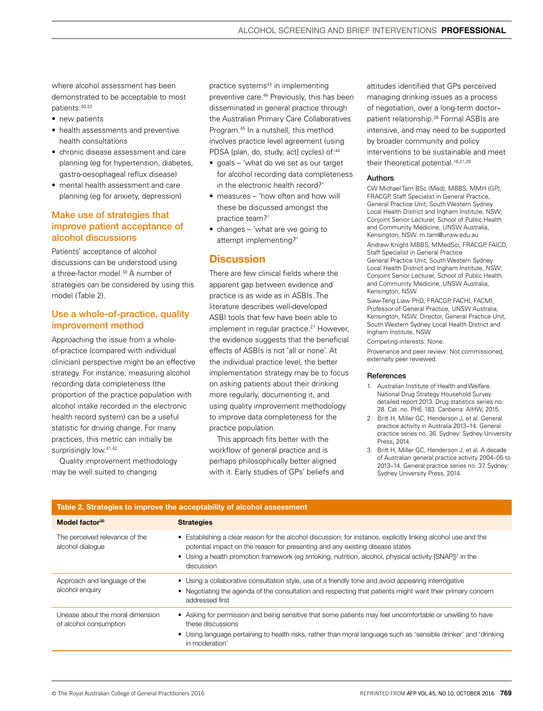where alcohol assessment has been demonstrated to be acceptable to most patients: 30,33

- new patients
- health assessments and preventive health consultations
- chronic disease assessment and care planning (eg for hypertension, diabetes, gastro-oesophageal reflux disease)
- mental health assessment and care planning (eg for anxiety, depression)

# Make use of strategies that improve patient acceptance of alcohol discussions

Patients' acceptance of alcohol discussions can be understood using a three-factor model.30 A number of strategies can be considered by using this model (Table 2).

# Use a whole-of-practice, quality improvement method

Approaching the issue from a wholeof-practice (compared with individual clinician) perspective might be an effective strategy. For instance, measuring alcohol recording data completeness (the proportion of the practice population with alcohol intake recorded in the electronic health record system) can be a useful statistic for driving change. For many practices, this metric can initially be surprisingly low.<sup>41,42</sup>

Quality improvement methodology may be well suited to changing

practice systems<sup>43</sup> in implementing preventive care.<sup>44</sup> Previously, this has been disseminated in general practice through the Australian Primary Care Collaboratives Program.45 In a nutshell, this method involves practice level agreement (using PDSA [plan, do, study, act] cycles) of:44

- goals 'what do we set as our target for alcohol recording data completeness in the electronic health record?'
- measures 'how often and how will these be discussed amongst the practice team?'
- changes 'what are we going to attempt implementing?'

# **Discussion**

There are few clinical fields where the apparent gap between evidence and practice is as wide as in ASBIs. The literature describes well-developed ASBI tools that few have been able to implement in regular practice.<sup>27</sup> However, the evidence suggests that the beneficial effects of ASBIs is not 'all or none'. At the individual practice level, the better implementation strategy may be to focus on asking patients about their drinking more regularly, documenting it, and using quality improvement methodology to improve data completeness for the practice population.

This approach fits better with the workflow of general practice and is perhaps philosophically better aligned with it. Early studies of GPs' beliefs and attitudes identified that GPs perceived managing drinking issues as a process of negotiation, over a long-term doctor– patient relationship.26 Formal ASBIs are intensive, and may need to be supported by broader community and policy interventions to be sustainable and meet their theoretical potential.<sup>18,21,29</sup>

#### Authors

CW Michael Tam BSc (Med), MBBS, MMH (GP), FRACGP, Staff Specialist in General Practice, General Practice Unit, South Western Sydney Local Health District and Ingham Institute, NSW; Conjoint Senior Lecturer, School of Public Health and Community Medicine, UNSW Australia, Kensington, NSW. m.tam@unsw.edu.au

Andrew Knight MBBS, MMedSci, FRACGP, FAICD, Staff Specialist in General Practice General Practice Unit, South Western Sydney Local Health District and Ingham Institute, NSW; Conjoint Senior Lecturer, School of Public Health and Community Medicine, UNSW Australia, Kensington, NSW

Siaw-Teng Liaw PhD, FRACGP, FACHI, FACMI, Professor of General Practice, UNSW Australia, Kensington, NSW; Director, General Practice Unit, South Western Sydney Local Health District and Ingham Institute, NSW

Competing interests: None.

Provenance and peer review: Not commissioned, externally peer reviewed.

#### References

- 1. Australian Institute of Health and Welfare. National Drug Strategy Household Survey detailed report 2013. Drug statistics series no. 28. Cat. no. PHE 183. Canberra: AIHW, 2015.
- 2. Britt H, Miller GC, Henderson J, et al. General practice activity in Australia 2013–14. General practice series no. 36. Sydney: Sydney University Press, 2014.
- 3. Britt H, Miller GC, Henderson J, et al. A decade of Australian general practice activity 2004–05 to 2013–14. General practice series no. 37. Sydney: Sydney University Press, 2014.

| Table 2. Strategies to improve the acceptability of alcohol assessment |                                                                                                                                                                                                                                                                                                                                      |  |
|------------------------------------------------------------------------|--------------------------------------------------------------------------------------------------------------------------------------------------------------------------------------------------------------------------------------------------------------------------------------------------------------------------------------|--|
| Model factor $30$                                                      | <b>Strategies</b>                                                                                                                                                                                                                                                                                                                    |  |
| The perceived relevance of the<br>alcohol dialoque                     | • Establishing a clear reason for the alcohol discussion; for instance, explicitly linking alcohol use and the<br>potential impact on the reason for presenting and any existing disease states<br>• Using a health promotion framework (eg smoking, nutrition, alcohol, physical activity [SNAP]) <sup>7</sup> in the<br>discussion |  |
| Approach and language of the<br>alcohol enquiry                        | • Using a collaborative consultation style, use of a friendly tone and avoid appearing interrogative<br>• Negotiating the agenda of the consultation and respecting that patients might want their primary concern<br>addressed first                                                                                                |  |
| Unease about the moral dimension<br>of alcohol consumption             | • Asking for permission and being sensitive that some patients may feel uncomfortable or unwilling to have<br>these discussions<br>• Using language pertaining to health risks, rather than moral language such as 'sensible drinker' and 'drinking<br>in moderation'                                                                |  |